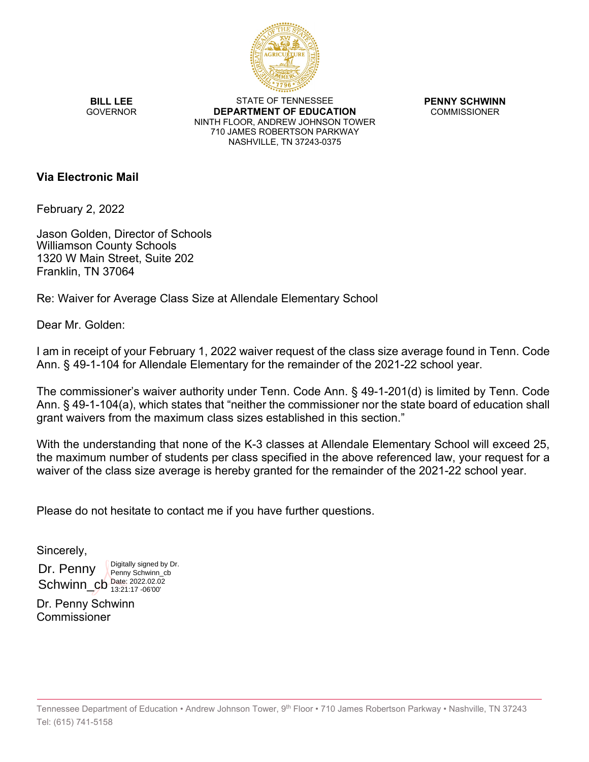

**BILL LEE GOVERNOR** 

STATE OF TENNESSEE **DEPARTMENT OF EDUCATION** NINTH FLOOR, ANDREW JOHNSON TOWER 710 JAMES ROBERTSON PARKWAY NASHVILLE, TN 37243-0375

**PENNY SCHWINN** COMMISSIONER

## **Via Electronic Mail**

February 2, 2022

Jason Golden, Director of Schools Williamson County Schools 1320 W Main Street, Suite 202 Franklin, TN 37064

Re: Waiver for Average Class Size at Allendale Elementary School

Dear Mr. Golden:

I am in receipt of your February 1, 2022 waiver request of the class size average found in Tenn. Code Ann. § 49-1-104 for Allendale Elementary for the remainder of the 2021-22 school year.

The commissioner's waiver authority under Tenn. Code Ann. § 49-1-201(d) is limited by Tenn. Code Ann. § 49-1-104(a), which states that "neither the commissioner nor the state board of education shall grant waivers from the maximum class sizes established in this section."

With the understanding that none of the K-3 classes at Allendale Elementary School will exceed 25, the maximum number of students per class specified in the above referenced law, your request for a waiver of the class size average is hereby granted for the remainder of the 2021-22 school year.

Please do not hesitate to contact me if you have further questions.

Sincerely,

Dr. Penny  $SchwinCb_{13:21:17-06'00'}^{Date: 2022.02.02}$ Digitally signed by Dr. Penny Schwinn\_cb 13:21:17 -06'00'

Dr. Penny Schwinn Commissioner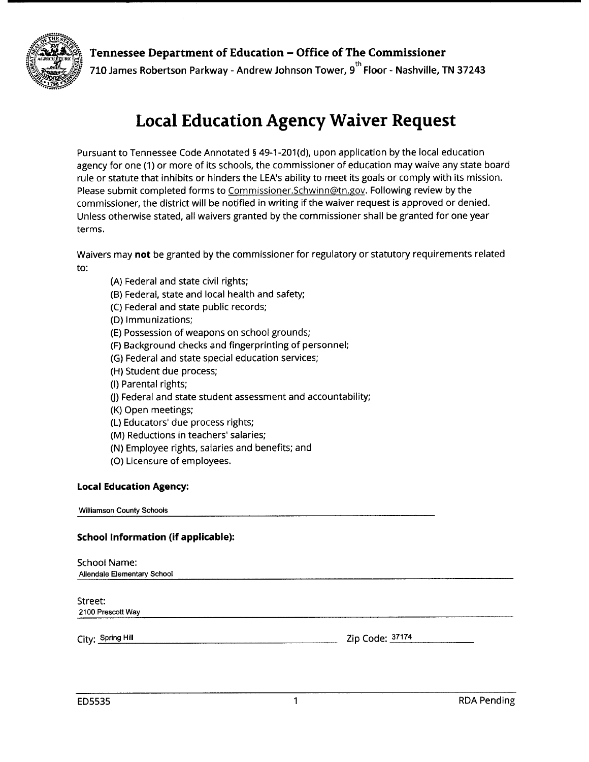

## Tennessee Department of Education - Office of The Commissioner

710 James Robertson Parkway - Andrew Johnson Tower, 9<sup>th</sup> Floor - Nashville, TN 37243

# **Local Education Agency Waiver Request**

Pursuant to Tennessee Code Annotated § 49-1-201(d), upon application by the local education agency for one (1) or more of its schools, the commissioner of education may waive any state board rule or statute that inhibits or hinders the LEA's ability to meet its goals or comply with its mission. Please submit completed forms to Commissioner.Schwinn@tn.gov. Following review by the commissioner, the district will be notified in writing if the waiver request is approved or denied. Unless otherwise stated, all waivers granted by the commissioner shall be granted for one year terms.

Waivers may not be granted by the commissioner for regulatory or statutory requirements related to:

- (A) Federal and state civil rights;
- (B) Federal, state and local health and safety;
- (C) Federal and state public records;
- (D) Immunizations;
- (E) Possession of weapons on school grounds;
- (F) Background checks and fingerprinting of personnel;
- (G) Federal and state special education services;
- (H) Student due process;
- (I) Parental rights;
- (J) Federal and state student assessment and accountability;
- (K) Open meetings;
- (L) Educators' due process rights;
- (M) Reductions in teachers' salaries;
- (N) Employee rights, salaries and benefits; and
- (O) Licensure of employees.

#### **Local Education Agency:**

**Williamson County Schools** 

### **School Information (if applicable):**

| <b>School Name:</b><br>Allendale Elementary School |                 |
|----------------------------------------------------|-----------------|
| Street:<br>2100 Prescott Way                       |                 |
| City: Spring Hill                                  | Zip Code: 37174 |